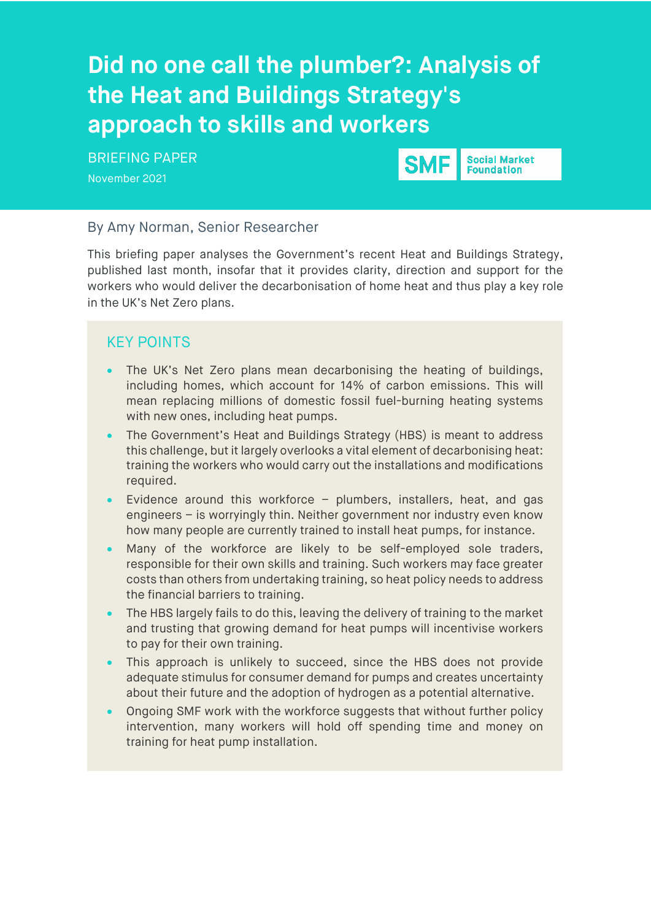# **F approach to skills and workers Did no one call the plumber?: Analysis of the Heat and Buildings Strategy's**

BRIEFING PAPER

November 2021



**Social Market Foundation** 

## By Amy Norman, Senior Researcher

This briefing paper analyses the Government's recent Heat and Buildings Strategy, published last month, insofar that it provides clarity, direction and support for the workers who would deliver the decarbonisation of home heat and thus play a key role in the UK's Net Zero plans.

## KEY POINTS

- The UK's Net Zero plans mean decarbonising the heating of buildings, including homes, which account for 14% of carbon emissions. This will mean replacing millions of domestic fossil fuel-burning heating systems with new ones, including heat pumps.
- The Government's Heat and Buildings Strategy (HBS) is meant to address this challenge, but it largely overlooks a vital element of decarbonising heat: training the workers who would carry out the installations and modifications required.
- Evidence around this workforce  $-$  plumbers, installers, heat, and gas engineers – is worryingly thin. Neither government nor industry even know how many people are currently trained to install heat pumps, for instance.
- Many of the workforce are likely to be self-employed sole traders, responsible for their own skills and training. Such workers may face greater costs than others from undertaking training, so heat policy needs to address the financial barriers to training.
- The HBS largely fails to do this, leaving the delivery of training to the market and trusting that growing demand for heat pumps will incentivise workers to pay for their own training.
- This approach is unlikely to succeed, since the HBS does not provide adequate stimulus for consumer demand for pumps and creates uncertainty about their future and the adoption of hydrogen as a potential alternative.
- Ongoing SMF work with the workforce suggests that without further policy intervention, many workers will hold off spending time and money on training for heat pump installation.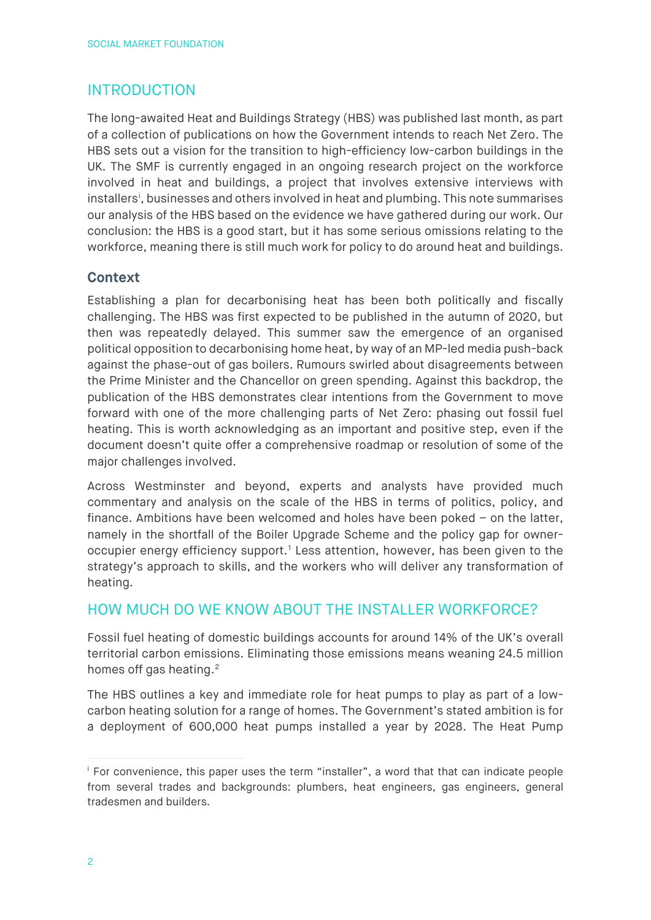# INTRODUCTION

The long-awaited Heat and Buildings Strategy (HBS) was published last month, as part of a collection of publications on how the Government intends to reach Net Zero. The HBS sets out a vision for the transition to high-efficiency low-carbon buildings in the UK. The SMF is currently engaged in an ongoing research project on the workforce involved in heat and buildings, a project that involves extensive interviews with [i](#page-1-0)nstallers<sup>i</sup>, businesses and others involved in heat and plumbing. This note summarises our analysis of the HBS based on the evidence we have gathered during our work. Our conclusion: the HBS is a good start, but it has some serious omissions relating to the workforce, meaning there is still much work for policy to do around heat and buildings.

## **Context**

Establishing a plan for decarbonising heat has been both politically and fiscally challenging. The HBS was first expected to be published in the autumn of 2020, but then was repeatedly delayed. This summer saw the emergence of an organised political opposition to decarbonising home heat, by way of an MP-led media push-back against the phase-out of gas boilers. Rumours swirled about disagreements between the Prime Minister and the Chancellor on green spending. Against this backdrop, the publication of the HBS demonstrates clear intentions from the Government to move forward with one of the more challenging parts of Net Zero: phasing out fossil fuel heating. This is worth acknowledging as an important and positive step, even if the document doesn't quite offer a comprehensive roadmap or resolution of some of the major challenges involved.

Across Westminster and beyond, experts and analysts have provided much commentary and analysis on the scale of the HBS in terms of politics, policy, and finance. Ambitions have been welcomed and holes have been poked – on the latter, namely in the shortfall of the Boiler Upgrade Scheme and the policy gap for owneroccupier energy efficiency support. [1](#page-7-0) Less attention, however, has been given to the strategy's approach to skills, and the workers who will deliver any transformation of heating.

## HOW MUCH DO WE KNOW ABOUT THE INSTALLER WORKFORCE?

Fossil fuel heating of domestic buildings accounts for around 14% of the UK's overall territorial carbon emissions. Eliminating those emissions means weaning 24.5 million homes off gas heating.<sup>[2](#page-7-1)</sup>

The HBS outlines a key and immediate role for heat pumps to play as part of a lowcarbon heating solution for a range of homes. The Government's stated ambition is for a deployment of 600,000 heat pumps installed a year by 2028. The Heat Pump

<span id="page-1-0"></span><sup>&</sup>lt;sup>i</sup> For convenience, this paper uses the term "installer", a word that that can indicate people from several trades and backgrounds: plumbers, heat engineers, gas engineers, general tradesmen and builders.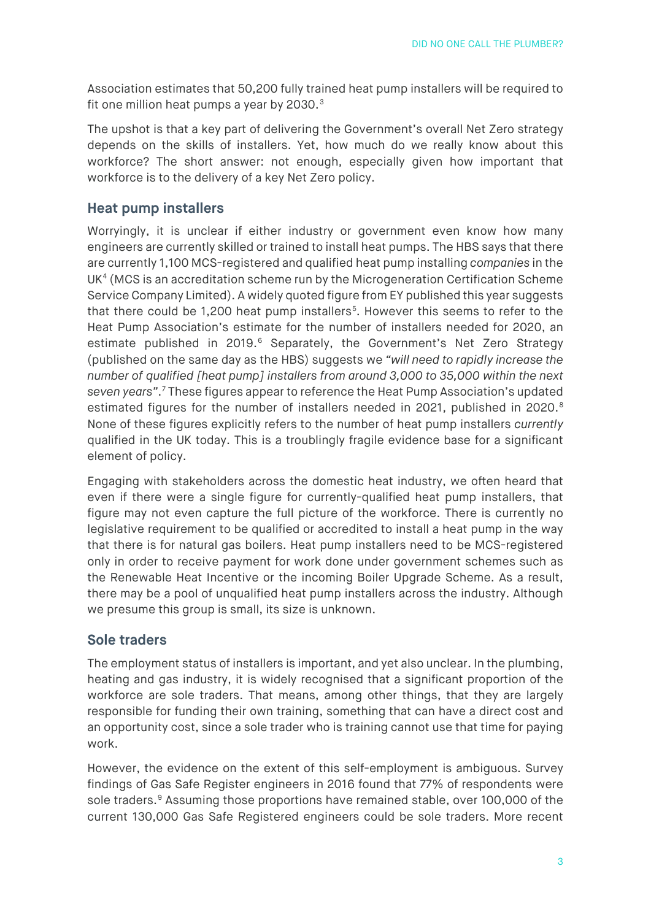Association estimates that 50,200 fully trained heat pump installers will be required to fit one million heat pumps a year by 20[3](#page-7-2)0.<sup>3</sup>

The upshot is that a key part of delivering the Government's overall Net Zero strategy depends on the skills of installers. Yet, how much do we really know about this workforce? The short answer: not enough, especially given how important that workforce is to the delivery of a key Net Zero policy.

## **Heat pump installers**

Worryingly, it is unclear if either industry or government even know how many engineers are currently skilled or trained to install heat pumps. The HBS says that there are currently 1,100 MCS-registered and qualified heat pump installing *companies* in the  $UK<sup>4</sup> (MCS)$  $UK<sup>4</sup> (MCS)$  $UK<sup>4</sup> (MCS)$  is an accreditation scheme run by the Microgeneration Certification Scheme Service Company Limited). A widely quoted figure from EY published this year suggests that there could be 1,200 heat pump installers<sup>[5](#page-7-4)</sup>. However this seems to refer to the Heat Pump Association's estimate for the number of installers needed for 2020, an estimate published in 2019.<sup>[6](#page-7-5)</sup> Separately, the Government's Net Zero Strategy (published on the same day as the HBS) suggests we *"will need to rapidly increase the number of qualified [heat pump] installers from around 3,000 to 35,000 within the next seven years"*. [7](#page-7-6) These figures appear to reference the Heat Pump Association's updated estimated figures for the number of installers needed in 2021, published in 2020. [8](#page-7-7) None of these figures explicitly refers to the number of heat pump installers *currently* qualified in the UK today. This is a troublingly fragile evidence base for a significant element of policy.

Engaging with stakeholders across the domestic heat industry, we often heard that even if there were a single figure for currently-qualified heat pump installers, that figure may not even capture the full picture of the workforce. There is currently no legislative requirement to be qualified or accredited to install a heat pump in the way that there is for natural gas boilers. Heat pump installers need to be MCS-registered only in order to receive payment for work done under government schemes such as the Renewable Heat Incentive or the incoming Boiler Upgrade Scheme. As a result, there may be a pool of unqualified heat pump installers across the industry. Although we presume this group is small, its size is unknown.

## **Sole traders**

The employment status of installers is important, and yet also unclear. In the plumbing, heating and gas industry, it is widely recognised that a significant proportion of the workforce are sole traders. That means, among other things, that they are largely responsible for funding their own training, something that can have a direct cost and an opportunity cost, since a sole trader who is training cannot use that time for paying work.

However, the evidence on the extent of this self-employment is ambiguous. Survey findings of Gas Safe Register engineers in 2016 found that 77% of respondents were sole traders.<sup>[9](#page-7-8)</sup> Assuming those proportions have remained stable, over 100,000 of the current 130,000 Gas Safe Registered engineers could be sole traders. More recent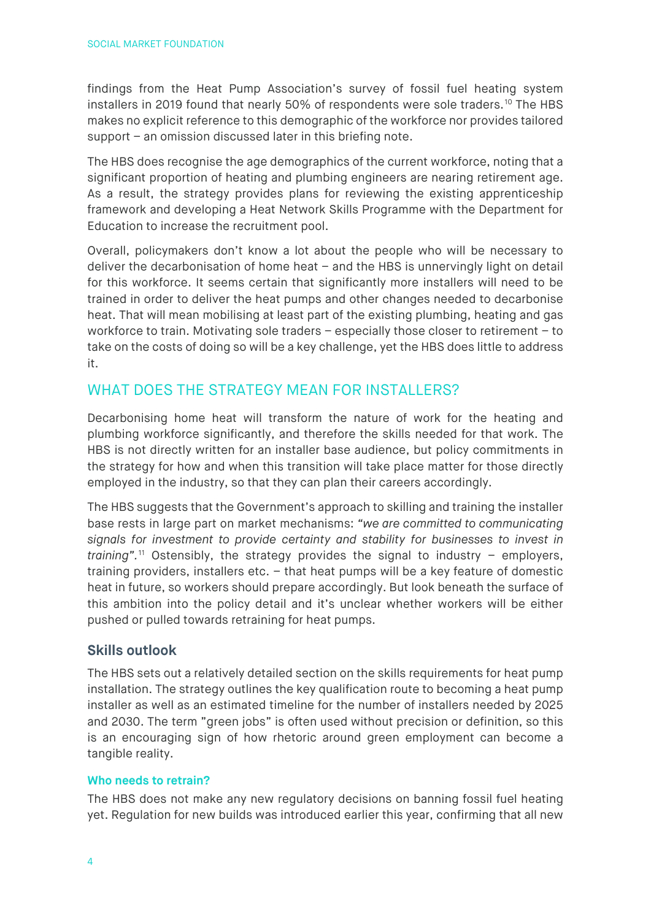findings from the Heat Pump Association's survey of fossil fuel heating system installers in 2019 found that nearly 50% of respondents were sole traders.<sup>[10](#page-7-9)</sup> The HBS makes no explicit reference to this demographic of the workforce nor provides tailored support – an omission discussed later in this briefing note.

The HBS does recognise the age demographics of the current workforce, noting that a significant proportion of heating and plumbing engineers are nearing retirement age. As a result, the strategy provides plans for reviewing the existing apprenticeship framework and developing a Heat Network Skills Programme with the Department for Education to increase the recruitment pool.

Overall, policymakers don't know a lot about the people who will be necessary to deliver the decarbonisation of home heat – and the HBS is unnervingly light on detail for this workforce. It seems certain that significantly more installers will need to be trained in order to deliver the heat pumps and other changes needed to decarbonise heat. That will mean mobilising at least part of the existing plumbing, heating and gas workforce to train. Motivating sole traders – especially those closer to retirement – to take on the costs of doing so will be a key challenge, yet the HBS does little to address it.

# WHAT DOES THE STRATEGY MEAN FOR INSTALLERS?

Decarbonising home heat will transform the nature of work for the heating and plumbing workforce significantly, and therefore the skills needed for that work. The HBS is not directly written for an installer base audience, but policy commitments in the strategy for how and when this transition will take place matter for those directly employed in the industry, so that they can plan their careers accordingly.

The HBS suggests that the Government's approach to skilling and training the installer base rests in large part on market mechanisms: *"we are committed to communicating signals for investment to provide certainty and stability for businesses to invest in training".* [11](#page-7-10) Ostensibly, the strategy provides the signal to industry – employers, training providers, installers etc. – that heat pumps will be a key feature of domestic heat in future, so workers should prepare accordingly. But look beneath the surface of this ambition into the policy detail and it's unclear whether workers will be either pushed or pulled towards retraining for heat pumps.

## **Skills outlook**

The HBS sets out a relatively detailed section on the skills requirements for heat pump installation. The strategy outlines the key qualification route to becoming a heat pump installer as well as an estimated timeline for the number of installers needed by 2025 and 2030. The term "green jobs" is often used without precision or definition, so this is an encouraging sign of how rhetoric around green employment can become a tangible reality.

#### **Who needs to retrain?**

The HBS does not make any new regulatory decisions on banning fossil fuel heating yet. Regulation for new builds was introduced earlier this year, confirming that all new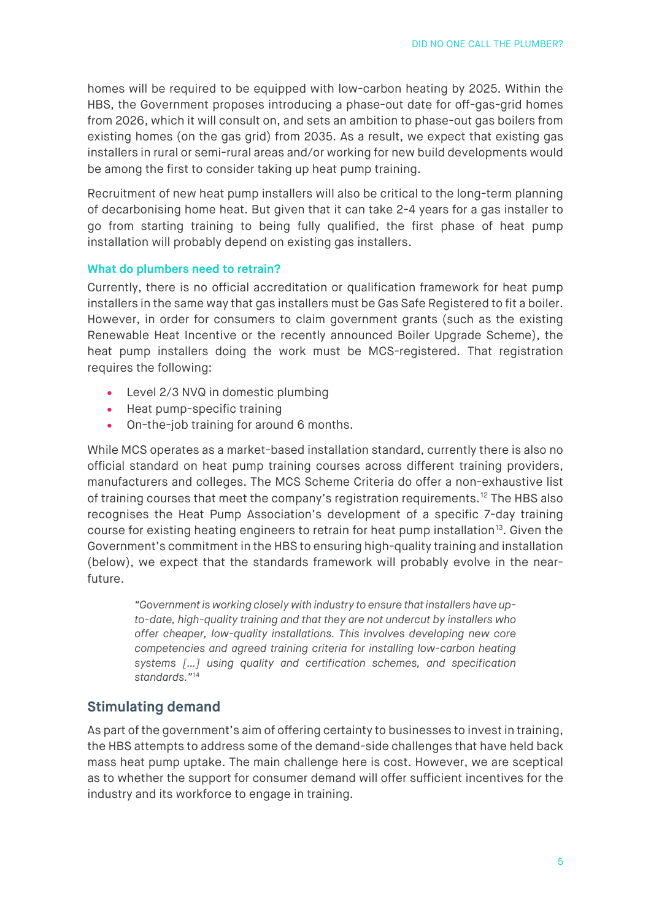homes will be required to be equipped with low-carbon heating by 2025. Within the HBS, the Government proposes introducing a phase-out date for off-gas-grid homes from 2026, which it will consult on, and sets an ambition to phase-out gas boilers from existing homes (on the gas grid) from 2035. As a result, we expect that existing gas installers in rural or semi-rural areas and/or working for new build developments would be among the first to consider taking up heat pump training.

Recruitment of new heat pump installers will also be critical to the long-term planning of decarbonising home heat. But given that it can take 2-4 years for a gas installer to go from starting training to being fully qualified, the first phase of heat pump installation will probably depend on existing gas installers.

#### **What do plumbers need to retrain?**

Currently, there is no official accreditation or qualification framework for heat pump installers in the same way that gas installers must be Gas Safe Registered to fit a boiler. However, in order for consumers to claim government grants (such as the existing Renewable Heat Incentive or the recently announced Boiler Upgrade Scheme), the heat pump installers doing the work must be MCS-registered. That registration requires the following:

- Level 2/3 NVQ in domestic plumbing
- Heat pump-specific training
- On-the-job training for around 6 months.

While MCS operates as a market-based installation standard, currently there is also no official standard on heat pump training courses across different training providers, manufacturers and colleges. The MCS Scheme Criteria do offer a non-exhaustive list of training courses that meet the company's registration requirements.[12](#page-7-11) The HBS also recognises the Heat Pump Association's development of a specific 7-day training course for existing heating engineers to retrain for heat pump installation<sup>13</sup>. Given the Government's commitment in the HBS to ensuring high-quality training and installation (below), we expect that the standards framework will probably evolve in the nearfuture.

*"Government is working closely with industry to ensure that installers have upto-date, high-quality training and that they are not undercut by installers who offer cheaper, low-quality installations. This involves developing new core competencies and agreed training criteria for installing low-carbon heating systems […] using quality and certification schemes, and specification standards."*[14](#page-7-13)

## **Stimulating demand**

As part of the government's aim of offering certainty to businesses to invest in training, the HBS attempts to address some of the demand-side challenges that have held back mass heat pump uptake. The main challenge here is cost. However, we are sceptical as to whether the support for consumer demand will offer sufficient incentives for the industry and its workforce to engage in training.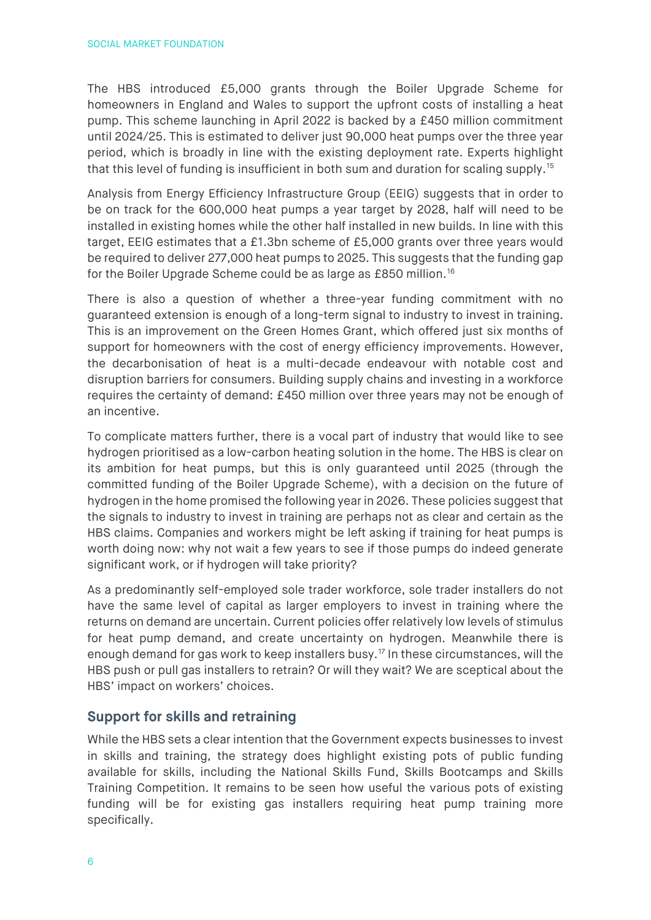The HBS introduced £5,000 grants through the Boiler Upgrade Scheme for homeowners in England and Wales to support the upfront costs of installing a heat pump. This scheme launching in April 2022 is backed by a £450 million commitment until 2024/25. This is estimated to deliver just 90,000 heat pumps over the three year period, which is broadly in line with the existing deployment rate. Experts highlight that this level of funding is insufficient in both sum and duration for scaling supply.[15](#page-7-14)

Analysis from Energy Efficiency Infrastructure Group (EEIG) suggests that in order to be on track for the 600,000 heat pumps a year target by 2028, half will need to be installed in existing homes while the other half installed in new builds. In line with this target, EEIG estimates that a £1.3bn scheme of £5,000 grants over three years would be required to deliver 277,000 heat pumps to 2025. This suggests that the funding gap for the Boiler Upgrade Scheme could be as large as £850 million.[16](#page-7-15)

There is also a question of whether a three-year funding commitment with no guaranteed extension is enough of a long-term signal to industry to invest in training. This is an improvement on the Green Homes Grant, which offered just six months of support for homeowners with the cost of energy efficiency improvements. However, the decarbonisation of heat is a multi-decade endeavour with notable cost and disruption barriers for consumers. Building supply chains and investing in a workforce requires the certainty of demand: £450 million over three years may not be enough of an incentive.

To complicate matters further, there is a vocal part of industry that would like to see hydrogen prioritised as a low-carbon heating solution in the home. The HBS is clear on its ambition for heat pumps, but this is only guaranteed until 2025 (through the committed funding of the Boiler Upgrade Scheme), with a decision on the future of hydrogen in the home promised the following year in 2026. These policies suggest that the signals to industry to invest in training are perhaps not as clear and certain as the HBS claims. Companies and workers might be left asking if training for heat pumps is worth doing now: why not wait a few years to see if those pumps do indeed generate significant work, or if hydrogen will take priority?

As a predominantly self-employed sole trader workforce, sole trader installers do not have the same level of capital as larger employers to invest in training where the returns on demand are uncertain. Current policies offer relatively low levels of stimulus for heat pump demand, and create uncertainty on hydrogen. Meanwhile there is enough demand for gas work to keep installers busy.<sup>[17](#page-7-16)</sup> In these circumstances, will the HBS push or pull gas installers to retrain? Or will they wait? We are sceptical about the HBS' impact on workers' choices.

## **Support for skills and retraining**

While the HBS sets a clear intention that the Government expects businesses to invest in skills and training, the strategy does highlight existing pots of public funding available for skills, including the National Skills Fund, Skills Bootcamps and Skills Training Competition. It remains to be seen how useful the various pots of existing funding will be for existing gas installers requiring heat pump training more specifically.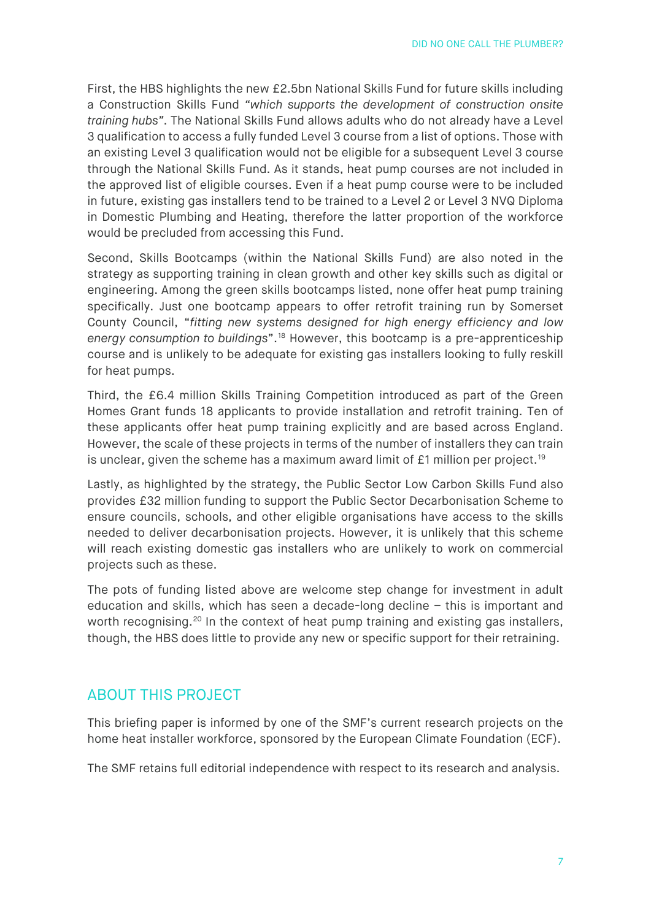First, the HBS highlights the new £2.5bn National Skills Fund for future skills including a Construction Skills Fund *"which supports the development of construction onsite training hubs"*. The National Skills Fund allows adults who do not already have a Level 3 qualification to access a fully funded Level 3 course from a list of options. Those with an existing Level 3 qualification would not be eligible for a subsequent Level 3 course through the National Skills Fund. As it stands, heat pump courses are not included in the approved list of eligible courses. Even if a heat pump course were to be included in future, existing gas installers tend to be trained to a Level 2 or Level 3 NVQ Diploma in Domestic Plumbing and Heating, therefore the latter proportion of the workforce would be precluded from accessing this Fund.

Second, Skills Bootcamps (within the National Skills Fund) are also noted in the strategy as supporting training in clean growth and other key skills such as digital or engineering. Among the green skills bootcamps listed, none offer heat pump training specifically. Just one bootcamp appears to offer retrofit training run by Somerset County Council, "*fitting new systems designed for high energy efficiency and low energy consumption to buildings*".[18](#page-7-17) However, this bootcamp is a pre-apprenticeship course and is unlikely to be adequate for existing gas installers looking to fully reskill for heat pumps.

Third, the £6.4 million Skills Training Competition introduced as part of the Green Homes Grant funds 18 applicants to provide installation and retrofit training. Ten of these applicants offer heat pump training explicitly and are based across England. However, the scale of these projects in terms of the number of installers they can train is unclear, given the scheme has a maximum award limit of  $£1$  million per project.<sup>[19](#page-7-18)</sup>

Lastly, as highlighted by the strategy, the Public Sector Low Carbon Skills Fund also provides £32 million funding to support the Public Sector Decarbonisation Scheme to ensure councils, schools, and other eligible organisations have access to the skills needed to deliver decarbonisation projects. However, it is unlikely that this scheme will reach existing domestic gas installers who are unlikely to work on commercial projects such as these.

The pots of funding listed above are welcome step change for investment in adult education and skills, which has seen a decade-long decline – this is important and worth recognising.<sup>[20](#page-7-19)</sup> In the context of heat pump training and existing gas installers, though, the HBS does little to provide any new or specific support for their retraining.

## ABOUT THIS PROJECT

This briefing paper is informed by one of the SMF's current research projects on the home heat installer workforce, sponsored by the European Climate Foundation (ECF).

The SMF retains full editorial independence with respect to its research and analysis.